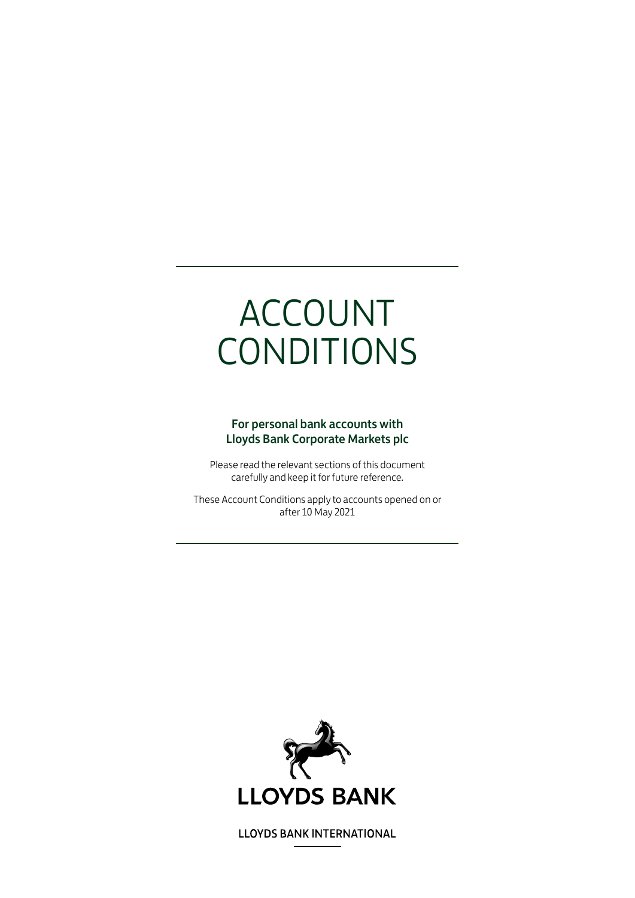# ACCOUNT CONDITIONS

## For personal bank accounts with Lloyds Bank Corporate Markets plc

Please read the relevant sections of this document carefully and keep it for future reference.

These Account Conditions apply to accounts opened on or after 10 May 2021



**LLOYDS BANK INTERNATIONAL**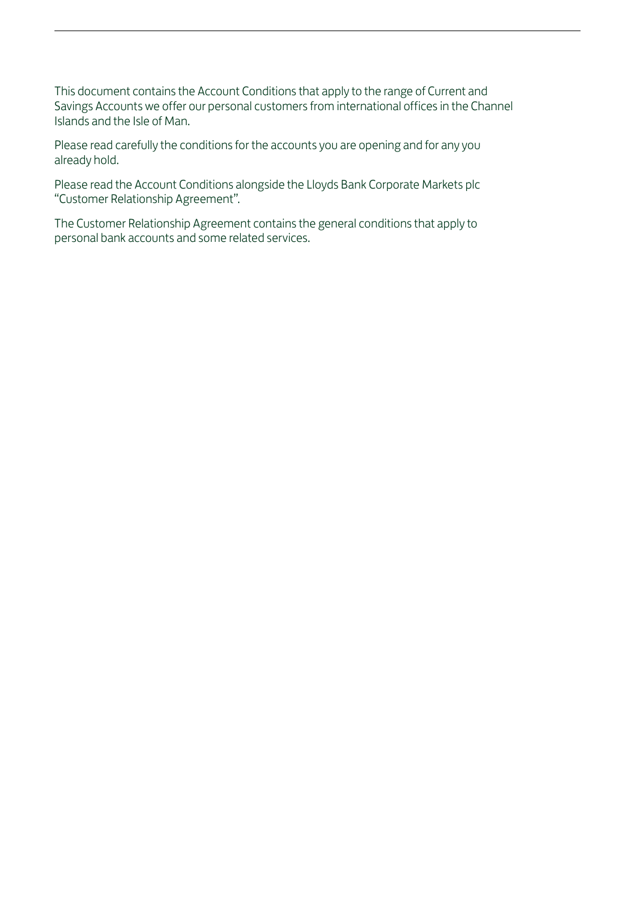This document contains the Account Conditions that apply to the range of Current and Savings Accounts we offer our personal customers from international offices in the Channel Islands and the Isle of Man.

Please read carefully the conditions for the accounts you are opening and for any you already hold.

Please read the Account Conditions alongside the Lloyds Bank Corporate Markets plc "Customer Relationship Agreement".

The Customer Relationship Agreement contains the general conditions that apply to personal bank accounts and some related services.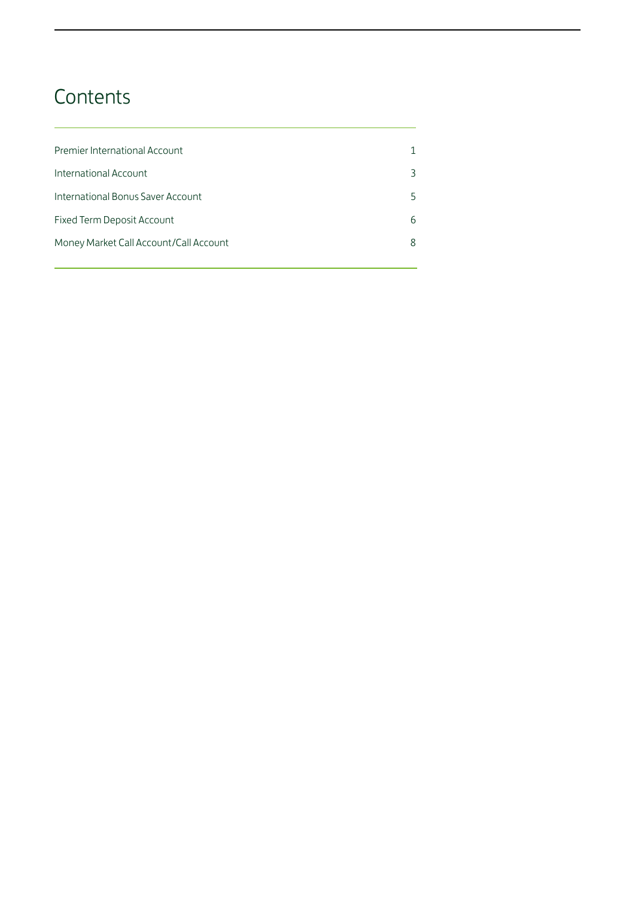## **Contents**

| Premier International Account          | 1 |
|----------------------------------------|---|
| International Account                  | 3 |
| International Bonus Saver Account      | 5 |
| Fixed Term Deposit Account             | 6 |
| Money Market Call Account/Call Account | 8 |
|                                        |   |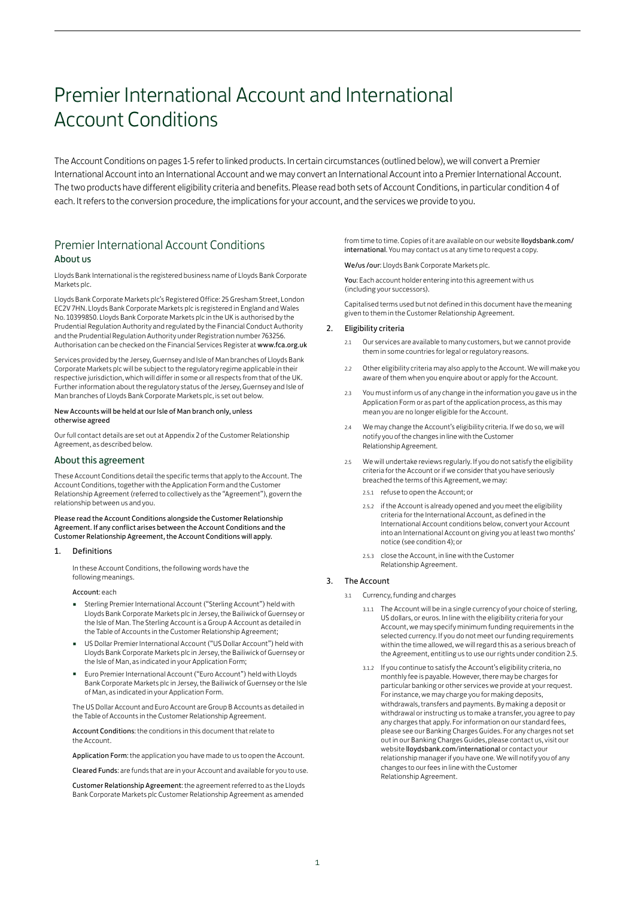## Premier International Account and International Account Conditions

The Account Conditions on pages 1-5 refer to linked products. In certain circumstances (outlined below), we will convert a Premier International Account into an International Account and we may convert an International Account into a Premier International Account. The two products have different eligibility criteria and benefits. Please read both sets of Account Conditions, in particular condition 4 of each. It refers to the conversion procedure, the implications for your account, and the services we provide to you.

## Premier International Account Conditions About us

Lloyds Bank International is the registered business name of Lloyds Bank Corporate Markets plc.

Lloyds Bank Corporate Markets plc's Registered Office: 25 Gresham Street, London EC2V 7HN. Lloyds Bank Corporate Markets plc is registered in England and Wales No. 10399850. Lloyds Bank Corporate Markets plc in the UK is authorised by the Prudential Regulation Authority and regulated by the Financial Conduct Authority and the Prudential Regulation Authority under Registration number 763256. Authorisation can be checked on the Financial Services Register at www.fca.org.uk

Services provided by the Jersey, Guernsey and Isle of Man branches of Lloyds Bank Corporate Markets plc will be subject to the regulatory regime applicable in their respective jurisdiction, which will differ in some or all respects from that of the UK. Further information about the regulatory status of the Jersey, Guernsey and Isle of Man branches of Lloyds Bank Corporate Markets plc, is set out below.

#### New Accounts will be held at our Isle of Man branch only, unless otherwise agreed

Our full contact details are set out at Appendix 2 of the Customer Relationship Agreement, as described below.

## About this agreement

These Account Conditions detail the specific terms that apply to the Account. The Account Conditions, together with the Application Form and the Customer Relationship Agreement (referred to collectively as the "Agreement"), govern the relationship between us and you.

Please read the Account Conditions alongside the Customer Relationship Agreement. If any conflict arises between the Account Conditions and the Customer Relationship Agreement, the Account Conditions will apply.

## 1. Definitions

In these Account Conditions, the following words have the following meanings.

## Account: each

- Sterling Premier International Account ("Sterling Account") held with Lloyds Bank Corporate Markets plc in Jersey, the Bailiwick of Guernsey or the Isle of Man. The Sterling Account is a Group A Account as detailed in the Table of Accounts in the Customer Relationship Agreement;
- US Dollar Premier International Account ("US Dollar Account") held with Lloyds Bank Corporate Markets plc in Jersey, the Bailiwick of Guernsey or the Isle of Man, as indicated in your Application Form;
- Euro Premier International Account ("Euro Account") held with Lloyds Bank Corporate Markets plc in Jersey, the Bailiwick of Guernsey or the Isle of Man, as indicated in your Application Form.

The US Dollar Account and Euro Account are Group B Accounts as detailed in the Table of Accounts in the Customer Relationship Agreement.

Account Conditions: the conditions in this document that relate to the Account.

Application Form: the application you have made to us to open the Account.

Cleared Funds: are funds that are in your Account and available for you to use.

Customer Relationship Agreement: the agreement referred to as the Lloyds Bank Corporate Markets plc Customer Relationship Agreement as amended

from time to time. Copies of it are available on our website lloydsbank.com/ international. You may contact us at any time to request a copy.

We/us /our: Lloyds Bank Corporate Markets plc.

You: Each account holder entering into this agreement with us (including your successors).

Capitalised terms used but not defined in this document have the meaning given to them in the Customer Relationship Agreement.

## 2. Eligibility criteria

- 2.1 Our services are available to many customers, but we cannot provide them in some countries for legal or regulatory reasons.
- 2.2 Other eligibility criteria may also apply to the Account. We will make you aware of them when you enquire about or apply for the Account.
- 2.3 You must inform us of any change in the information you gave us in the Application Form or as part of the application process, as this may mean you are no longer eligible for the Account.
- 2.4 We may change the Account's eligibility criteria. If we do so, we will notify you of the changes in line with the Customer Relationship Agreement.
- 2.5 We will undertake reviews regularly. If you do not satisfy the eligibility criteria for the Account or if we consider that you have seriously breached the terms of this Agreement, we may:
	- 2.5.1 refuse to open the Account; or
	- 2.5.2 if the Account is already opened and you meet the eligibility criteria for the International Account, as defined in the International Account conditions below, convert your Account into an International Account on giving you at least two months' notice (see condition 4); or
	- 2.5.3 close the Account, in line with the Customer Relationship Agreement.

## 3. The Account

- 3.1 Currency, funding and charges
	- 3.1.1 The Account will be in a single currency of your choice of sterling, US dollars, or euros. In line with the eligibility criteria for your Account, we may specify minimum funding requirements in the selected currency. If you do not meet our funding requirements within the time allowed, we will regard this as a serious breach of the Agreement, entitling us to use our rights under condition 2.5.
	- 3.1.2 If you continue to satisfy the Account's eligibility criteria, no monthly fee is payable. However, there may be charges for particular banking or other services we provide at your request. For instance, we may charge you for making deposits, withdrawals, transfers and payments. By making a deposit or withdrawal or instructing us to make a transfer, you agree to pay any charges that apply. For information on our standard fees, please see our Banking Charges Guides. For any charges not set out in our Banking Charges Guides, please contact us, visit our website lloydsbank.com/international or contact your relationship manager if you have one. We will notify you of any changes to our fees in line with the Customer Relationship Agreement.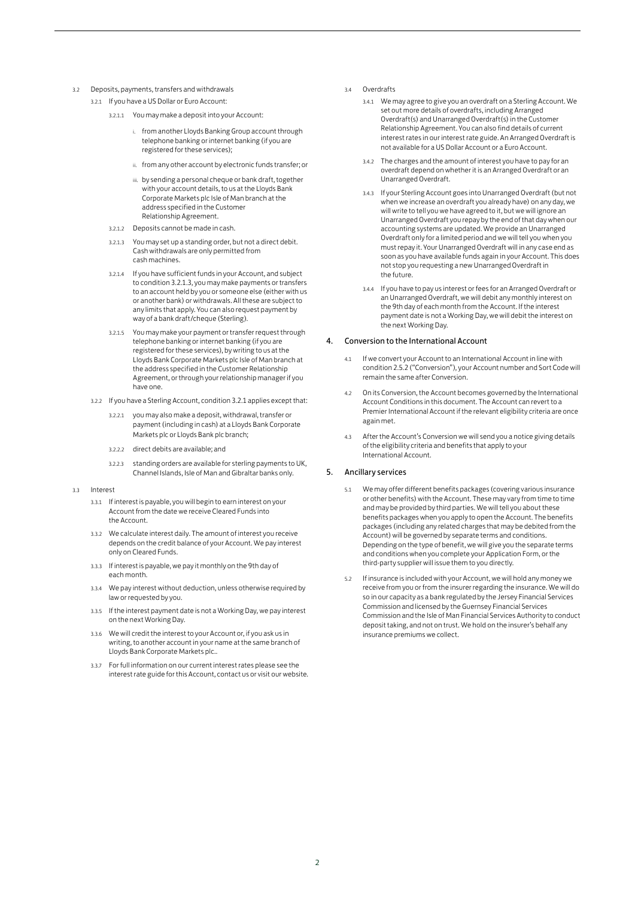- 3.2 Deposits, payments, transfers and withdrawals
	- 3.2.1 If you have a US Dollar or Euro Account:
		- 3.2.1.1 You may make a deposit into your Account:
			- from another Lloyds Banking Group account through telephone banking or internet banking (if you are registered for these services);
			- ii. from any other account by electronic funds transfer; or
			- iii. by sending a personal cheque or bank draft, together with your account details, to us at the Lloyds Bank Corporate Markets plc Isle of Man branch at the address specified in the Customer Relationship Agreement.
		- 3.2.1.2 Deposits cannot be made in cash.
		- 3.2.1.3 You may set up a standing order, but not a direct debit. Cash withdrawals are only permitted from cash machines.
		- 3.2.1.4 If you have sufficient funds in your Account, and subject to condition 3.2.1.3, you may make payments or transfers to an account held by you or someone else (either with us or another bank) or withdrawals. All these are subject to any limits that apply. You can also request payment by way of a bank draft/cheque (Sterling).
		- 3.2.1.5 You may make your payment or transfer request through telephone banking or internet banking (if you are registered for these services), by writing to us at the Lloyds Bank Corporate Markets plc Isle of Man branch at the address specified in the Customer Relationship Agreement, or through your relationship manager if you have one.
	- 3.2.2 If you have a Sterling Account, condition 3.2.1 applies except that:
		- 3.2.2.1 you may also make a deposit, withdrawal, transfer or payment (including in cash) at a Lloyds Bank Corporate Markets plc or Lloyds Bank plc branch;
		- 3.2.2.2 direct debits are available; and
		- 3.2.2.3 standing orders are available for sterling payments to UK, Channel Islands, Isle of Man and Gibraltar banks only.
- 3.3 Interest
	- 3.3.1 If interest is payable, you will begin to earn interest on your Account from the date we receive Cleared Funds into the Account.
	- 3.3.2 We calculate interest daily. The amount of interest you receive depends on the credit balance of your Account. We pay interest only on Cleared Funds.
	- 3.3.3 If interest is payable, we pay it monthly on the 9th day of each month.
	- 3.3.4 We pay interest without deduction, unless otherwise required by law or requested by you.
	- 3.3.5 If the interest payment date is not a Working Day, we pay interest on the next Working Day.
	- 3.3.6 We will credit the interest to your Account or, if you ask us in writing, to another account in your name at the same branch of Lloyds Bank Corporate Markets plc..
	- 3.3.7 For full information on our current interest rates please see the interest rate guide for this Account, contact us or visit our website.
- 3.4 Overdrafts
	- 3.4.1 We may agree to give you an overdraft on a Sterling Account. We set out more details of overdrafts, including Arranged Overdraft(s) and Unarranged Overdraft(s) in the Customer Relationship Agreement. You can also find details of current interest rates in our interest rate guide. An Arranged Overdraft is not available for a US Dollar Account or a Euro Account.
	- 3.4.2 The charges and the amount of interest you have to pay for an overdraft depend on whether it is an Arranged Overdraft or an Unarranged Overdraft.
	- 3.4.3 If your Sterling Account goes into Unarranged Overdraft (but not when we increase an overdraft you already have) on any day, we will write to tell you we have agreed to it, but we will ignore an Unarranged Overdraft you repay by the end of that day when our accounting systems are updated. We provide an Unarranged Overdraft only for a limited period and we will tell you when you must repay it. Your Unarranged Overdraft will in any case end as soon as you have available funds again in your Account. This does not stop you requesting a new Unarranged Overdraft in the future.
	- 3.4.4 If you have to pay us interest or fees for an Arranged Overdraft or an Unarranged Overdraft, we will debit any monthly interest on the 9th day of each month from the Account. If the interest payment date is not a Working Day, we will debit the interest on the next Working Day.

#### 4. Conversion to the International Account

- 4.1 If we convert your Account to an International Account in line with condition 2.5.2 ("Conversion"), your Account number and Sort Code will remain the same after Conversion.
- 4.2 On its Conversion, the Account becomes governed by the International Account Conditions in this document. The Account can revert to a Premier International Account if the relevant eligibility criteria are once again met.
- After the Account's Conversion we will send you a notice giving details of the eligibility criteria and benefits that apply to your International Account.

## 5. Ancillary services

- 5.1 We may offer different benefits packages (covering various insurance or other benefits) with the Account. These may vary from time to time and may be provided by third parties. We will tell you about these benefits packages when you apply to open the Account. The benefits packages (including any related charges that may be debited from the Account) will be governed by separate terms and conditions. Depending on the type of benefit, we will give you the separate terms and conditions when you complete your Application Form, or the third-party supplier will issue them to you directly.
- 5.2 If insurance is included with your Account, we will hold any money we receive from you or from the insurer regarding the insurance. We will do so in our capacity as a bank regulated by the Jersey Financial Services Commission and licensed by the Guernsey Financial Services Commission and the Isle of Man Financial Services Authority to conduct deposit taking, and not on trust. We hold on the insurer's behalf any insurance premiums we collect.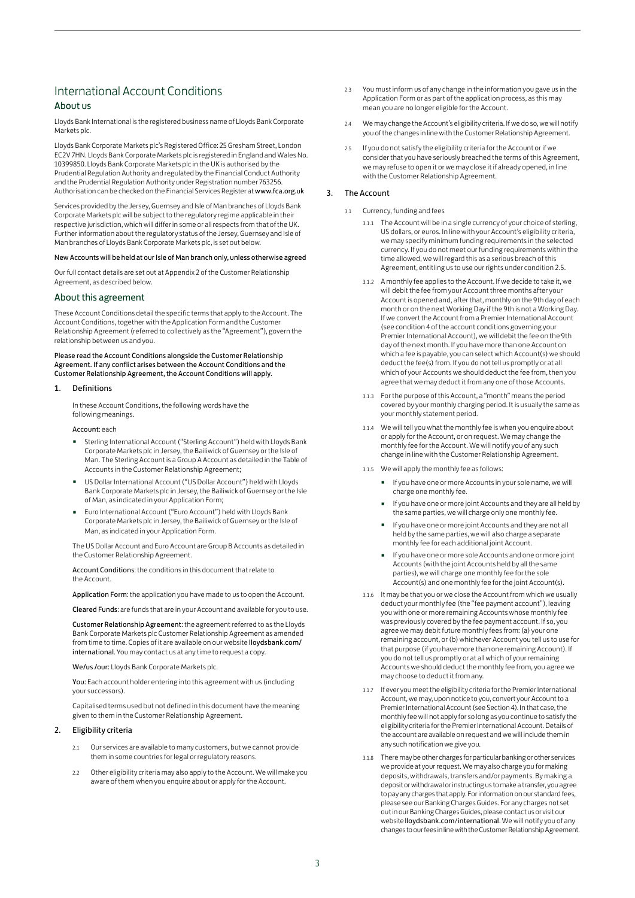## <span id="page-5-0"></span>International Account Conditions About us

Lloyds Bank International is the registered business name of Lloyds Bank Corporate Markets plc.

Lloyds Bank Corporate Markets plc's Registered Office: 25 Gresham Street, London EC2V 7HN. Lloyds Bank Corporate Markets plc is registered in England and Wales No. 10399850. Lloyds Bank Corporate Markets plc in the UK is authorised by the Prudential Regulation Authority and regulated by the Financial Conduct Authority and the Prudential Regulation Authority under Registration number 763256. Authorisation can be checked on the Financial Services Register at www.fca.org.uk

Services provided by the Jersey, Guernsey and Isle of Man branches of Lloyds Bank Corporate Markets plc will be subject to the regulatory regime applicable in their respective jurisdiction, which will differ in some or all respects from that of the UK. Further information about the regulatory status of the Jersey, Guernsey and Isle of Man branches of Lloyds Bank Corporate Markets plc, is set out below.

### New Accounts will be held at our Isle of Man branch only, unless otherwise agreed

Our full contact details are set out at Appendix 2 of the Customer Relationship Agreement, as described below.

## About this agreement

These Account Conditions detail the specific terms that apply to the Account. The Account Conditions, together with the Application Form and the Customer Relationship Agreement (referred to collectively as the "Agreement"), govern the relationship between us and you.

Please read the Account Conditions alongside the Customer Relationship Agreement. If any conflict arises between the Account Conditions and the Customer Relationship Agreement, the Account Conditions will apply.

## 1. Definitions

In these Account Conditions, the following words have the following meanings.

Account: each

- Sterling International Account ("Sterling Account") held with Lloyds Bank Corporate Markets plc in Jersey, the Bailiwick of Guernsey or the Isle of Man. The Sterling Account is a Group A Account as detailed in the Table of Accounts in the Customer Relationship Agreement;
- US Dollar International Account ("US Dollar Account") held with Lloyds Bank Corporate Markets plc in Jersey, the Bailiwick of Guernsey or the Isle of Man, as indicated in your Application Form;
- Euro International Account ("Euro Account") held with Lloyds Bank Corporate Markets plc in Jersey, the Bailiwick of Guernsey or the Isle of Man, as indicated in your Application Form.

The US Dollar Account and Euro Account are Group B Accounts as detailed in the Customer Relationship Agreement.

Account Conditions: the conditions in this document that relate to the Account.

Application Form: the application you have made to us to open the Account.

Cleared Funds: are funds that are in your Account and available for you to use.

Customer Relationship Agreement: the agreement referred to as the Lloyds Bank Corporate Markets plc Customer Relationship Agreement as amended from time to time. Copies of it are available on our website lloydsbank.com/ international. You may contact us at any time to request a copy.

We/us /our: Lloyds Bank Corporate Markets plc.

You: Each account holder entering into this agreement with us (including your successors).

Capitalised terms used but not defined in this document have the meaning given to them in the Customer Relationship Agreement.

## **Eligibility criteria**

- 2.1 Our services are available to many customers, but we cannot provide them in some countries for legal or regulatory reasons.
- 2.2 Other eligibility criteria may also apply to the Account. We will make you aware of them when you enquire about or apply for the Account.
- 2.3 You must inform us of any change in the information you gave us in the Application Form or as part of the application process, as this may mean you are no longer eligible for the Account.
- 2.4 We may change the Account's eligibility criteria. If we do so, we will notify you of the changes in line with the Customer Relationship Agreement.
- 2.5 If you do not satisfy the eligibility criteria for the Account or if we consider that you have seriously breached the terms of this Agreement, we may refuse to open it or we may close it if already opened, in line with the Customer Relationship Agreement.

## 3. The Account

- 3.1 Currency, funding and fees
	- 3.1.1 The Account will be in a single currency of your choice of sterling, US dollars, or euros. In line with your Account's eligibility criteria, we may specify minimum funding requirements in the selected currency. If you do not meet our funding requirements within the time allowed, we will regard this as a serious breach of this Agreement, entitling us to use our rights under condition 2.5.
	- 3.1.2 A monthly fee applies to the Account. If we decide to take it, we will debit the fee from your Account three months after your Account is opened and, after that, monthly on the 9th day of each month or on the next Working Day if the 9th is not a Working Day. If we convert the Account from a Premier International Account (see condition 4 of the account conditions governing your Premier International Account), we will debit the fee on the 9th day of the next month. If you have more than one Account on which a fee is payable, you can select which Account(s) we should deduct the fee(s) from. If you do not tell us promptly or at all which of your Accounts we should deduct the fee from, then you agree that we may deduct it from any one of those Accounts.
	- 3.1.3 For the purpose of this Account, a "month" means the period covered by your monthly charging period. It is usually the same as your monthly statement period.
	- 3.1.4 We will tell you what the monthly fee is when you enquire about or apply for the Account, or on request. We may change the monthly fee for the Account. We will notify you of any such change in line with the Customer Relationship Agreement.
	- 3.1.5 We will apply the monthly fee as follows:
		- If you have one or more Accounts in your sole name, we will charge one monthly fee.
		- If you have one or more joint Accounts and they are all held by the same parties, we will charge only one monthly fee.
		- If you have one or more joint Accounts and they are not all held by the same parties, we will also charge a separate monthly fee for each additional joint Account.
		- If you have one or more sole Accounts and one or more joint Accounts (with the joint Accounts held by all the same parties), we will charge one monthly fee for the sole Account(s) and one monthly fee for the joint Account(s).
	- 3.1.6 It may be that you or we close the Account from which we usually deduct your monthly fee (the "fee payment account"), leaving you with one or more remaining Accounts whose monthly fee was previously covered by the fee payment account. If so, you agree we may debit future monthly fees from: (a) your one remaining account, or (b) whichever Account you tell us to use for that purpose (if you have more than one remaining Account). If you do not tell us promptly or at all which of your remaining Accounts we should deduct the monthly fee from, you agree we may choose to deduct it from any.
	- 3.1.7 If ever you meet the eligibility criteria for the Premier International Account, we may, upon notice to you, convert your Account to a Premier International Account (see Section 4). In that case, the monthly fee will not apply for so long as you continue to satisfy the eligibility criteria for the Premier International Account. Details of the account are available on request and we will include them in any such notification we give you.
	- 3.1.8 There may be other charges for particular banking or other services we provide at your request. We may also charge you for making deposits, withdrawals, transfers and/or payments. By making a deposit or withdrawal or instructing us to make a transfer, you agree to pay any charges that apply. For information on our standard fees, please see our Banking Charges Guides. For any charges not set out in our Banking Charges Guides, please contact us or visit our website lloydsbank.com/international. We will notify you of any changes to our fees in line with the Customer Relationship Agreement.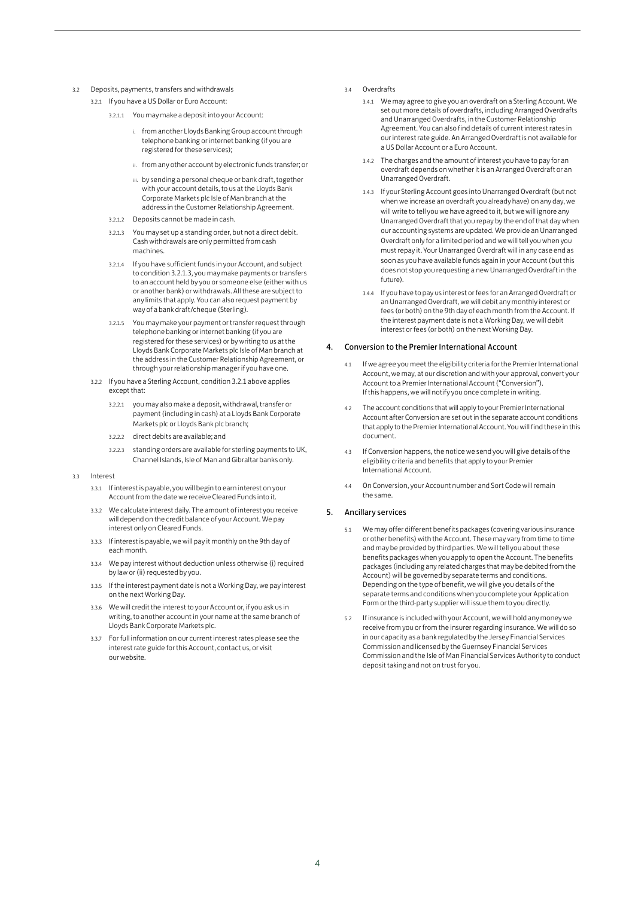## 3.2 Deposits, payments, transfers and withdrawals

- 3.2.1 If you have a US Dollar or Euro Account:
	- 3.2.1.1 You may make a deposit into your Account:
		- from another Lloyds Banking Group account through telephone banking or internet banking (if you are registered for these services);
		- ii. from any other account by electronic funds transfer; or
		- iii. by sending a personal cheque or bank draft, together with your account details, to us at the Lloyds Bank Corporate Markets plc Isle of Man branch at the address in the Customer Relationship Agreement.
	- 3.2.1.2 Deposits cannot be made in cash.
	- 3.2.1.3 You may set up a standing order, but not a direct debit. Cash withdrawals are only permitted from cash machines.
	- 3.2.1.4 If you have sufficient funds in your Account, and subject to condition 3.2.1.3, you may make payments or transfers to an account held by you or someone else (either with us or another bank) or withdrawals. All these are subject to any limits that apply. You can also request payment by way of a bank draft/cheque (Sterling).
	- 3.2.1.5 You may make your payment or transfer request through telephone banking or internet banking (if you are registered for these services) or by writing to us at the Lloyds Bank Corporate Markets plc Isle of Man branch at the address in the Customer Relationship Agreement, or through your relationship manager if you have one.
- 3.2.2 If you have a Sterling Account, condition 3.2.1 above applies except that:
	- 3.2.2.1 you may also make a deposit, withdrawal, transfer or payment (including in cash) at a Lloyds Bank Corporate Markets plc or Lloyds Bank plc branch;
	- 3.2.2.2 direct debits are available; and
	- 3.2.2.3 standing orders are available for sterling payments to UK, Channel Islands, Isle of Man and Gibraltar banks only.
- 3.3 Interest
	- 3.3.1 If interest is payable, you will begin to earn interest on your Account from the date we receive Cleared Funds into it.
	- 3.3.2 We calculate interest daily. The amount of interest you receive will depend on the credit balance of your Account. We pay interest only on Cleared Funds.
	- 3.3.3 If interest is payable, we will pay it monthly on the 9th day of each month.
	- 3.3.4 We pay interest without deduction unless otherwise (i) required by law or (ii) requested by you.
	- 3.3.5 If the interest payment date is not a Working Day, we pay interest on the next Working Day.
	- 3.3.6 We will credit the interest to your Account or, if you ask us in writing, to another account in your name at the same branch of Lloyds Bank Corporate Markets plc.
	- 3.3.7 For full information on our current interest rates please see the interest rate guide for this Account, contact us, or visit our website.
- 3.4 Overdrafts
	- 3.4.1 We may agree to give you an overdraft on a Sterling Account. We set out more details of overdrafts, including Arranged Overdrafts and Unarranged Overdrafts, in the Customer Relationship Agreement. You can also find details of current interest rates in our interest rate guide. An Arranged Overdraft is not available for a US Dollar Account or a Euro Account.
	- 3.4.2 The charges and the amount of interest you have to pay for an overdraft depends on whether it is an Arranged Overdraft or an Unarranged Overdraft.
	- 3.4.3 If your Sterling Account goes into Unarranged Overdraft (but not when we increase an overdraft you already have) on any day, we will write to tell you we have agreed to it, but we will ignore any Unarranged Overdraft that you repay by the end of that day when our accounting systems are updated. We provide an Unarranged Overdraft only for a limited period and we will tell you when you must repay it. Your Unarranged Overdraft will in any case end as soon as you have available funds again in your Account (but this does not stop you requesting a new Unarranged Overdraft in the future).
	- 3.4.4 If you have to pay us interest or fees for an Arranged Overdraft or an Unarranged Overdraft, we will debit any monthly interest or fees (or both) on the 9th day of each month from the Account. If the interest payment date is not a Working Day, we will debit interest or fees (or both) on the next Working Day.

## 4. Conversion to the Premier International Account

- If we agree you meet the eligibility criteria for the Premier International Account, we may, at our discretion and with your approval, convert your Account to a Premier International Account ("Conversion"). If this happens, we will notify you once complete in writing.
- 4.2 The account conditions that will apply to your Premier International Account after Conversion are set out in the separate account conditions that apply to the Premier International Account. You will find these in this document.
- If Conversion happens, the notice we send you will give details of the eligibility criteria and benefits that apply to your Premier International Account.
- 4.4 On Conversion, your Account number and Sort Code will remain the same.

## 5. Ancillary services

- 5.1 We may offer different benefits packages (covering various insurance or other benefits) with the Account. These may vary from time to time and may be provided by third parties. We will tell you about these benefits packages when you apply to open the Account. The benefits packages (including any related charges that may be debited from the Account) will be governed by separate terms and conditions. Depending on the type of benefit, we will give you details of the separate terms and conditions when you complete your Application Form or the third-party supplier will issue them to you directly.
- 5.2 If insurance is included with your Account, we will hold any money we receive from you or from the insurer regarding insurance. We will do so in our capacity as a bank regulated by the Jersey Financial Services Commission and licensed by the Guernsey Financial Services Commission and the Isle of Man Financial Services Authority to conduct deposit taking and not on trust for you.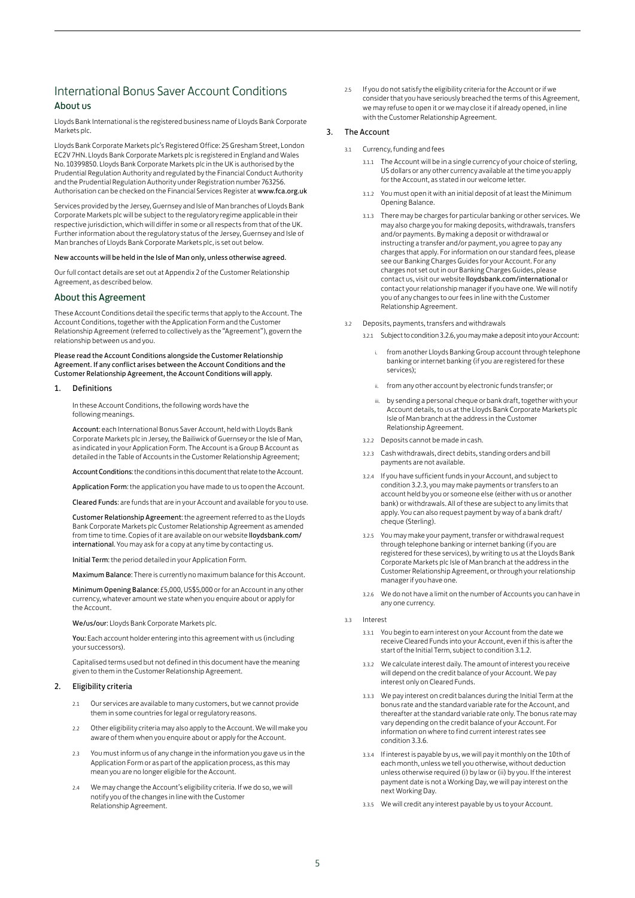## <span id="page-7-0"></span>International Bonus Saver Account Conditions About us

Lloyds Bank International is the registered business name of Lloyds Bank Corporate Markets plc.

Lloyds Bank Corporate Markets plc's Registered Office: 25 Gresham Street, London EC2V 7HN. Lloyds Bank Corporate Markets plc is registered in England and Wales No. 10399850. Lloyds Bank Corporate Markets plc in the UK is authorised by the Prudential Regulation Authority and regulated by the Financial Conduct Authority and the Prudential Regulation Authority under Registration number 763256. Authorisation can be checked on the Financial Services Register at www.fca.org.uk

Services provided by the Jersey, Guernsey and Isle of Man branches of Lloyds Bank Corporate Markets plc will be subject to the regulatory regime applicable in their respective jurisdiction, which will differ in some or all respects from that of the UK. Further information about the regulatory status of the Jersey, Guernsey and Isle of Man branches of Lloyds Bank Corporate Markets plc, is set out below.

#### New accounts will be held in the Isle of Man only, unless otherwise agreed.

Our full contact details are set out at Appendix 2 of the Customer Relationship Agreement, as described below.

## About this Agreement

These Account Conditions detail the specific terms that apply to the Account. The Account Conditions, together with the Application Form and the Customer Relationship Agreement (referred to collectively as the "Agreement"), govern the relationship between us and you.

Please read the Account Conditions alongside the Customer Relationship Agreement. If any conflict arises between the Account Conditions and the Customer Relationship Agreement, the Account Conditions will apply.

## 1. Definitions

In these Account Conditions, the following words have the following meanings.

Account: each International Bonus Saver Account, held with Lloyds Bank Corporate Markets plc in Jersey, the Bailiwick of Guernsey or the Isle of Man, as indicated in your Application Form. The Account is a Group B Account as detailed in the Table of Accounts in the Customer Relationship Agreement;

Account Conditions: the conditions in this document that relate to the Account.

Application Form: the application you have made to us to open the Account.

Cleared Funds: are funds that are in your Account and available for you to use.

Customer Relationship Agreement: the agreement referred to as the Lloyds Bank Corporate Markets plc Customer Relationship Agreement as amended from time to time. Copies of it are available on our website lloydsbank.com/ international. You may ask for a copy at any time by contacting us.

Initial Term: the period detailed in your Application Form.

Maximum Balance: There is currently no maximum balance for this Account.

Minimum Opening Balance: £5,000, US\$5,000 or for an Account in any other currency, whatever amount we state when you enquire about or apply for the Account.

We/us/our: Lloyds Bank Corporate Markets plc.

You: Each account holder entering into this agreement with us (including your successors).

Capitalised terms used but not defined in this document have the meaning given to them in the Customer Relationship Agreement.

## 2. Eligibility criteria

- 2.1 Our services are available to many customers, but we cannot provide them in some countries for legal or regulatory reasons.
- 2.2 Other eligibility criteria may also apply to the Account. We will make you aware of them when you enquire about or apply for the Account.
- 2.3 You must inform us of any change in the information you gave us in the Application Form or as part of the application process, as this may mean you are no longer eligible for the Account.
- 2.4 We may change the Account's eligibility criteria. If we do so, we will notify you of the changes in line with the Customer Relationship Agreement.

2.5 If you do not satisfy the eligibility criteria for the Account or if we consider that you have seriously breached the terms of this Agreement, we may refuse to open it or we may close it if already opened, in line with the Customer Relationship Agreement.

## 3. The Account

- 3.1 Currency, funding and fees
	- 3.1.1 The Account will be in a single currency of your choice of sterling, US dollars or any other currency available at the time you apply for the Account, as stated in our welcome letter.
	- 3.1.2 You must open it with an initial deposit of at least the Minimum Opening Balance.
	- 3.1.3 There may be charges for particular banking or other services. We may also charge you for making deposits, withdrawals, transfers and/or payments. By making a deposit or withdrawal or instructing a transfer and/or payment, you agree to pay any charges that apply. For information on our standard fees, please see our Banking Charges Guides for your Account. For any charges not set out in our Banking Charges Guides, please contact us, visit our website lloydsbank.com/international or contact your relationship manager if you have one. We will notify you of any changes to our fees in line with the Customer Relationship Agreement.
- 3.2 Deposits, payments, transfers and withdrawals
	- 3.2.1 Subject to condition 3.2.6, you may make a deposit into your Account:
		- from another Lloyds Banking Group account through telephone banking or internet banking (if you are registered for these services);
		- ii. from any other account by electronic funds transfer; or
		- by sending a personal cheque or bank draft, together with your Account details, to us at the Lloyds Bank Corporate Markets plc Isle of Man branch at the address in the Customer Relationship Agreement.
	- 3.2.2 Deposits cannot be made in cash.
	- 3.2.3 Cash withdrawals, direct debits, standing orders and bill payments are not available.
	- 3.2.4 If you have sufficient funds in your Account, and subject to condition 3.2.3, you may make payments or transfers to an account held by you or someone else (either with us or another bank) or withdrawals. All of these are subject to any limits that apply. You can also request payment by way of a bank draft/ cheque (Sterling).
	- 3.2.5 You may make your payment, transfer or withdrawal request through telephone banking or internet banking (if you are registered for these services), by writing to us at the Lloyds Bank Corporate Markets plc Isle of Man branch at the address in the Customer Relationship Agreement, or through your relationship manager if you have one.
	- 3.2.6 We do not have a limit on the number of Accounts you can have in any one currency.
- 3.3 Interest
	- 3.3.1 You begin to earn interest on your Account from the date we receive Cleared Funds into your Account, even if this is after the start of the Initial Term, subject to condition 3.1.2.
	- 3.3.2 We calculate interest daily. The amount of interest you receive will depend on the credit balance of your Account. We pay interest only on Cleared Funds.
	- 3.3.3 We pay interest on credit balances during the Initial Term at the bonus rate and the standard variable rate for the Account, and thereafter at the standard variable rate only. The bonus rate may vary depending on the credit balance of your Account. For information on where to find current interest rates see condition 3.3.6.
	- 3.3.4 If interest is payable by us, we will pay it monthly on the 10th of each month, unless we tell you otherwise, without deduction unless otherwise required (i) by law or (ii) by you. If the interest payment date is not a Working Day, we will pay interest on the next Working Day.
	- 3.3.5 We will credit any interest payable by us to your Account.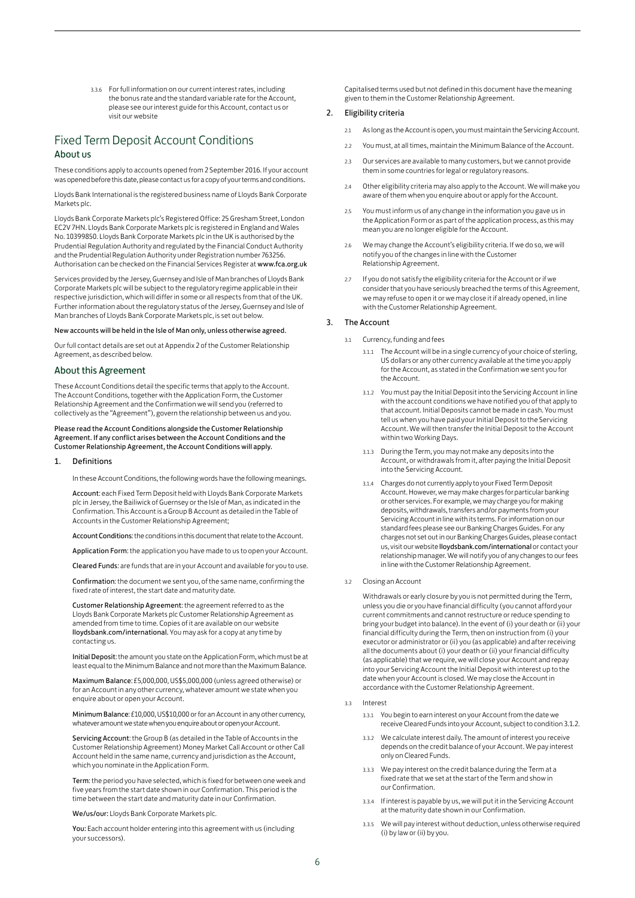3.3.6 For full information on our current interest rates, including the bonus rate and the standard variable rate for the Account, please see our interest guide for this Account, contact us or visit our website

## <span id="page-8-0"></span>Fixed Term Deposit Account Conditions About us

These conditions apply to accounts opened from 2 September 2016. If your account was opened before this date, please contact us for a copy of your terms and conditions.

Lloyds Bank International is the registered business name of Lloyds Bank Corporate Markets plc.

Lloyds Bank Corporate Markets plc's Registered Office: 25 Gresham Street, London EC2V 7HN. Lloyds Bank Corporate Markets plc is registered in England and Wales No. 10399850. Lloyds Bank Corporate Markets plc in the UK is authorised by the Prudential Regulation Authority and regulated by the Financial Conduct Authority and the Prudential Regulation Authority under Registration number 763256. Authorisation can be checked on the Financial Services Register at www.fca.org.uk

Services provided by the Jersey, Guernsey and Isle of Man branches of Lloyds Bank Corporate Markets plc will be subject to the regulatory regime applicable in their respective jurisdiction, which will differ in some or all respects from that of the UK. Further information about the regulatory status of the Jersey, Guernsey and Isle of Man branches of Lloyds Bank Corporate Markets plc, is set out below.

## New accounts will be held in the Isle of Man only, unless otherwise agreed.

Our full contact details are set out at Appendix 2 of the Customer Relationship Agreement, as described below.

## About this Agreement

These Account Conditions detail the specific terms that apply to the Account. The Account Conditions, together with the Application Form, the Customer Relationship Agreement and the Confirmation we will send you (referred to collectively as the "Agreement"), govern the relationship between us and you.

Please read the Account Conditions alongside the Customer Relationship Agreement. If any conflict arises between the Account Conditions and the Customer Relationship Agreement, the Account Conditions will apply.

## 1. Definitions

In these Account Conditions, the following words have the following meanings.

Account: each Fixed Term Deposit held with Lloyds Bank Corporate Markets plc in Jersey, the Bailiwick of Guernsey or the Isle of Man, as indicated in the Confirmation. This Account is a Group B Account as detailed in the Table of Accounts in the Customer Relationship Agreement;

Account Conditions: the conditions in this document that relate to the Account.

Application Form: the application you have made to us to open your Account.

Cleared Funds: are funds that are in your Account and available for you to use.

Confirmation: the document we sent you, of the same name, confirming the fixed rate of interest, the start date and maturity date.

Customer Relationship Agreement: the agreement referred to as the Lloyds Bank Corporate Markets plc Customer Relationship Agreement as amended from time to time. Copies of it are available on our website lloydsbank.com/international. You may ask for a copy at any time by contacting us.

Initial Deposit: the amount you state on the Application Form, which must be at least equal to the Minimum Balance and not more than the Maximum Balance.

Maximum Balance: £5,000,000, US\$5,000,000 (unless agreed otherwise) or for an Account in any other currency, whatever amount we state when you enquire about or open your Account.

Minimum Balance: £10,000, US\$10,000 or for an Account in any other currency, whatever amount we state when you enquire about or open your Account.

Servicing Account: the Group B (as detailed in the Table of Accounts in the Customer Relationship Agreement) Money Market Call Account or other Call Account held in the same name, currency and jurisdiction as the Account, which you nominate in the Application Form.

Term: the period you have selected, which is fixed for between one week and five years from the start date shown in our Confirmation. This period is the time between the start date and maturity date in our Confirmation.

We/us/our: Lloyds Bank Corporate Markets plc.

You: Each account holder entering into this agreement with us (including your successors).

Capitalised terms used but not defined in this document have the meaning given to them in the Customer Relationship Agreement.

## 2. Eligibility criteria

- 2.1 As long as the Account is open, you must maintain the Servicing Account.
- 2.2 You must, at all times, maintain the Minimum Balance of the Account.
- 2.3 Our services are available to many customers, but we cannot provide them in some countries for legal or regulatory reasons.
- 2.4 Other eligibility criteria may also apply to the Account. We will make you aware of them when you enquire about or apply for the Account.
- 2.5 You must inform us of any change in the information you gave us in the Application Form or as part of the application process, as this may mean you are no longer eligible for the Account.
- 2.6 We may change the Account's eligibility criteria. If we do so, we will notify you of the changes in line with the Customer Relationship Agreement.
- 2.7 If you do not satisfy the eligibility criteria for the Account or if we consider that you have seriously breached the terms of this Agreement, we may refuse to open it or we may close it if already opened, in line with the Customer Relationship Agreement.

## 3. The Account

- 3.1 Currency, funding and fees
	- 3.1.1 The Account will be in a single currency of your choice of sterling, US dollars or any other currency available at the time you apply for the Account, as stated in the Confirmation we sent you for the Account.
	- 3.1.2 You must pay the Initial Deposit into the Servicing Account in line with the account conditions we have notified you of that apply to that account. Initial Deposits cannot be made in cash. You must tell us when you have paid your Initial Deposit to the Servicing Account. We will then transfer the Initial Deposit to the Account within two Working Days.
	- 3.1.3 During the Term, you may not make any deposits into the Account, or withdrawals from it, after paying the Initial Deposit into the Servicing Account.
	- 3.1.4 Charges do not currently apply to your Fixed Term Deposit Account. However, we may make charges for particular banking or other services. For example, we may charge you for making deposits, withdrawals, transfers and/or payments from your Servicing Account in line with its terms. For information on our standard fees please see our Banking Charges Guides. For any charges not set out in our Banking Charges Guides, please contact us, visit our website lloydsbank.com/international or contact your relationship manager. We will notify you of any changes to our fees in line with the Customer Relationship Agreement.
- 3.2 Closing an Account

Withdrawals or early closure by you is not permitted during the Term, unless you die or you have financial difficulty (you cannot afford your current commitments and cannot restructure or reduce spending to bring your budget into balance). In the event of (i) your death or (ii) your financial difficulty during the Term, then on instruction from (i) your executor or administrator or (ii) you (as applicable) and after receiving all the documents about (i) your death or (ii) your financial difficulty (as applicable) that we require, we will close your Account and repay into your Servicing Account the Initial Deposit with interest up to the date when your Account is closed. We may close the Account in accordance with the Customer Relationship Agreement.

- 3.3 Interest
	- 3.3.1 You begin to earn interest on your Account from the date we receive Cleared Funds into your Account, subject to condition 3.1.2.
	- 3.3.2 We calculate interest daily. The amount of interest you receive depends on the credit balance of your Account. We pay interest only on Cleared Funds.
	- 3.3.3 We pay interest on the credit balance during the Term at a fixed rate that we set at the start of the Term and show in our Confirmation.
	- 3.3.4 If interest is payable by us, we will put it in the Servicing Account at the maturity date shown in our Confirmation.
	- 3.3.5 We will pay interest without deduction, unless otherwise required (i) by law or (ii) by you.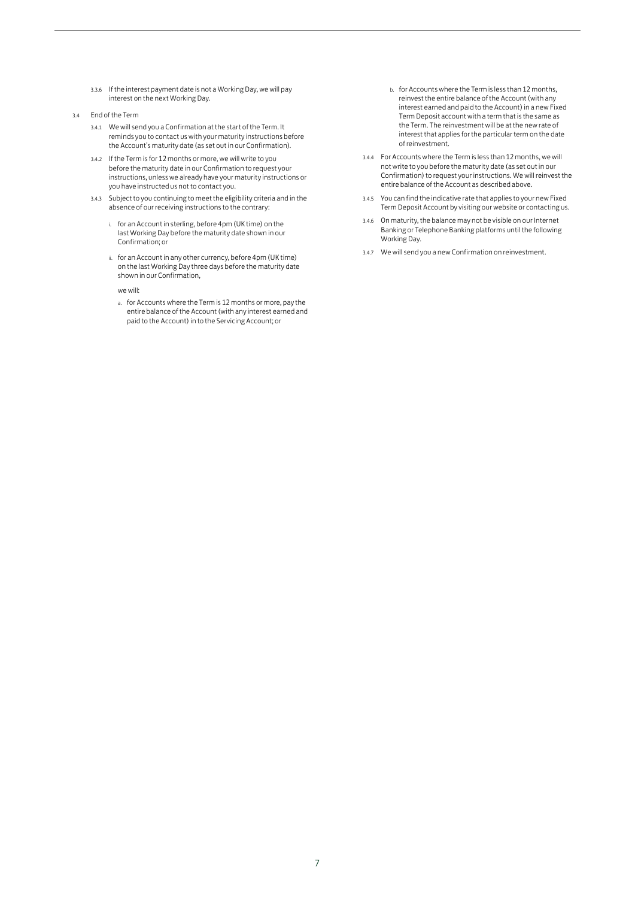- 3.3.6 If the interest payment date is not a Working Day, we will pay interest on the next Working Day.
- 3.4 End of the Term
	- 3.4.1 We will send you a Confirmation at the start of the Term. It reminds you to contact us with your maturity instructions before the Account's maturity date (as set out in our Confirmation).
	- 3.4.2 If the Term is for 12 months or more, we will write to you before the maturity date in our Confirmation to request your instructions, unless we already have your maturity instructions or you have instructed us not to contact you.
	- 3.4.3 Subject to you continuing to meet the eligibility criteria and in the absence of our receiving instructions to the contrary:
		- i. for an Account in sterling, before 4pm (UK time) on the last Working Day before the maturity date shown in our Confirmation; or
		- ii. for an Account in any other currency, before 4pm (UK time) on the last Working Day three days before the maturity date shown in our Confirmation,

we will:

a. for Accounts where the Term is 12 months or more, pay the entire balance of the Account (with any interest earned and paid to the Account) in to the Servicing Account; or

- b. for Accounts where the Term is less than 12 months, reinvest the entire balance of the Account (with any interest earned and paid to the Account) in a new Fixed Term Deposit account with a term that is the same as the Term. The reinvestment will be at the new rate of interest that applies for the particular term on the date of reinvestment.
- 3.4.4 For Accounts where the Term is less than 12 months, we will not write to you before the maturity date (as set out in our Confirmation) to request your instructions. We will reinvest the entire balance of the Account as described above.
- 3.4.5 You can find the indicative rate that applies to your new Fixed Term Deposit Account by visiting our website or contacting us.
- 3.4.6 On maturity, the balance may not be visible on our Internet Banking or Telephone Banking platforms until the following Working Day.
- 3.4.7 We will send you a new Confirmation on reinvestment.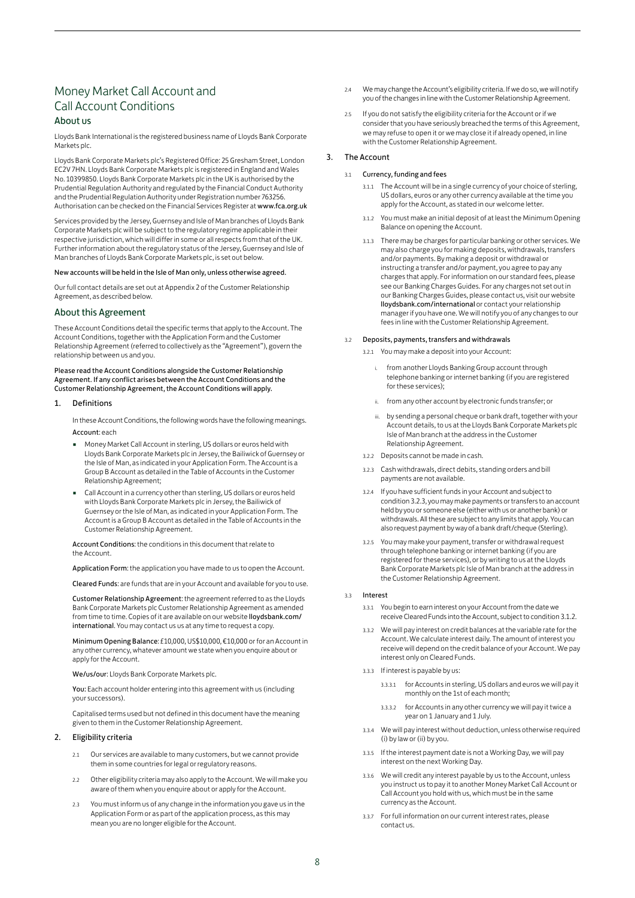## Money Market Call Account and Call Account Conditions

## About us

Lloyds Bank International is the registered business name of Lloyds Bank Corporate Markets plc.

Lloyds Bank Corporate Markets plc's Registered Office: 25 Gresham Street, London EC2V 7HN. Lloyds Bank Corporate Markets plc is registered in England and Wales No. 10399850. Lloyds Bank Corporate Markets plc in the UK is authorised by the Prudential Regulation Authority and regulated by the Financial Conduct Authority and the Prudential Regulation Authority under Registration number 763256. Authorisation can be checked on the Financial Services Register at www.fca.org.uk

Services provided by the Jersey, Guernsey and Isle of Man branches of Lloyds Bank Corporate Markets plc will be subject to the regulatory regime applicable in their respective jurisdiction, which will differ in some or all respects from that of the UK. Further information about the regulatory status of the Jersey, Guernsey and Isle of Man branches of Lloyds Bank Corporate Markets plc, is set out below.

## New accounts will be held in the Isle of Man only, unless otherwise agreed.

Our full contact details are set out at Appendix 2 of the Customer Relationship Agreement, as described below.

## About this Agreement

These Account Conditions detail the specific terms that apply to the Account. The Account Conditions, together with the Application Form and the Customer Relationship Agreement (referred to collectively as the "Agreement"), govern the relationship between us and you.

Please read the Account Conditions alongside the Customer Relationship Agreement. If any conflict arises between the Account Conditions and the Customer Relationship Agreement, the Account Conditions will apply.

## 1. Definitions

In these Account Conditions, the following words have the following meanings. Account: each

- Money Market Call Account in sterling, US dollars or euros held with Lloyds Bank Corporate Markets plc in Jersey, the Bailiwick of Guernsey or the Isle of Man, as indicated in your Application Form. The Account is a Group B Account as detailed in the Table of Accounts in the Customer Relationship Agreement;
- Call Account in a currency other than sterling, US dollars or euros held with Lloyds Bank Corporate Markets plc in Jersey, the Bailiwick of Guernsey or the Isle of Man, as indicated in your Application Form. The Account is a Group B Account as detailed in the Table of Accounts in the Customer Relationship Agreement.

Account Conditions: the conditions in this document that relate to the Account.

Application Form: the application you have made to us to open the Account.

Cleared Funds: are funds that are in your Account and available for you to use.

Customer Relationship Agreement: the agreement referred to as the Lloyds Bank Corporate Markets plc Customer Relationship Agreement as amended from time to time. Copies of it are available on our website lloydsbank.com/ international. You may contact us us at any time to request a copy.

Minimum Opening Balance: £10,000, US\$10,000, €10,000 or for an Account in any other currency, whatever amount we state when you enquire about or apply for the Account.

We/us/our: Lloyds Bank Corporate Markets plc.

You: Each account holder entering into this agreement with us (including your successors).

Capitalised terms used but not defined in this document have the meaning given to them in the Customer Relationship Agreement.

#### 2. Eligibility criteria

- 2.1 Our services are available to many customers, but we cannot provide them in some countries for legal or regulatory reasons.
- 2.2 Other eligibility criteria may also apply to the Account. We will make you aware of them when you enquire about or apply for the Account.
- 2.3 You must inform us of any change in the information you gave us in the Application Form or as part of the application process, as this may mean you are no longer eligible for the Account.
- 2.4 We may change the Account's eligibility criteria. If we do so, we will notify you of the changes in line with the Customer Relationship Agreement.
- 2.5 If you do not satisfy the eligibility criteria for the Account or if we consider that you have seriously breached the terms of this Agreement, we may refuse to open it or we may close it if already opened, in line with the Customer Relationship Agreement.

### 3. The Account

### 3.1 Currency, funding and fees

- 3.1.1 The Account will be in a single currency of your choice of sterling, US dollars, euros or any other currency available at the time you apply for the Account, as stated in our welcome letter.
- 3.1.2 You must make an initial deposit of at least the Minimum Opening Balance on opening the Account.
- 3.1.3 There may be charges for particular banking or other services. We may also charge you for making deposits, withdrawals, transfers and/or payments. By making a deposit or withdrawal or instructing a transfer and/or payment, you agree to pay any charges that apply. For information on our standard fees, please see our Banking Charges Guides. For any charges not set out in our Banking Charges Guides, please contact us, visit our website lloydsbank.com/international or contact your relationship manager if you have one. We will notify you of any changes to our fees in line with the Customer Relationship Agreement.

#### 3.2 Deposits, payments, transfers and withdrawals

- 3.2.1 You may make a deposit into your Account:
	- from another Lloyds Banking Group account through telephone banking or internet banking (if you are registered for these services);
	- ii. from any other account by electronic funds transfer; or
	- iii. by sending a personal cheque or bank draft, together with your Account details, to us at the Lloyds Bank Corporate Markets plc Isle of Man branch at the address in the Customer Relationship Agreement.
- 3.2.2 Deposits cannot be made in cash.
- 3.2.3 Cash withdrawals, direct debits, standing orders and bill payments are not available.
- 3.2.4 If you have sufficient funds in your Account and subject to condition 3.2.3, you may make payments or transfers to an account held by you or someone else (either with us or another bank) or withdrawals. All these are subject to any limits that apply. You can also request payment by way of a bank draft/cheque (Sterling).
- 3.2.5 You may make your payment, transfer or withdrawal request through telephone banking or internet banking (if you are registered for these services), or by writing to us at the Lloyds Bank Corporate Markets plc Isle of Man branch at the address in the Customer Relationship Agreement.
- 3.3 Interest
	- 3.3.1 You begin to earn interest on your Account from the date we receive Cleared Funds into the Account, subject to condition 3.1.2.
	- 3.3.2 We will pay interest on credit balances at the variable rate for the Account. We calculate interest daily. The amount of interest you receive will depend on the credit balance of your Account. We pay interest only on Cleared Funds.
	- 3.3.3 If interest is payable by us:
		- 3.3.3.1 for Accounts in sterling, US dollars and euros we will pay it monthly on the 1st of each month;
		- 3.3.3.2 for Accounts in any other currency we will pay it twice a year on 1 January and 1 July.
	- 3.3.4 We will pay interest without deduction, unless otherwise required (i) by law or (ii) by you.
	- 3.3.5 If the interest payment date is not a Working Day, we will pay interest on the next Working Day.
	- 3.3.6 We will credit any interest payable by us to the Account, unless you instruct us to pay it to another Money Market Call Account or Call Account you hold with us, which must be in the same currency as the Account.
	- 3.3.7 For full information on our current interest rates, please contact us.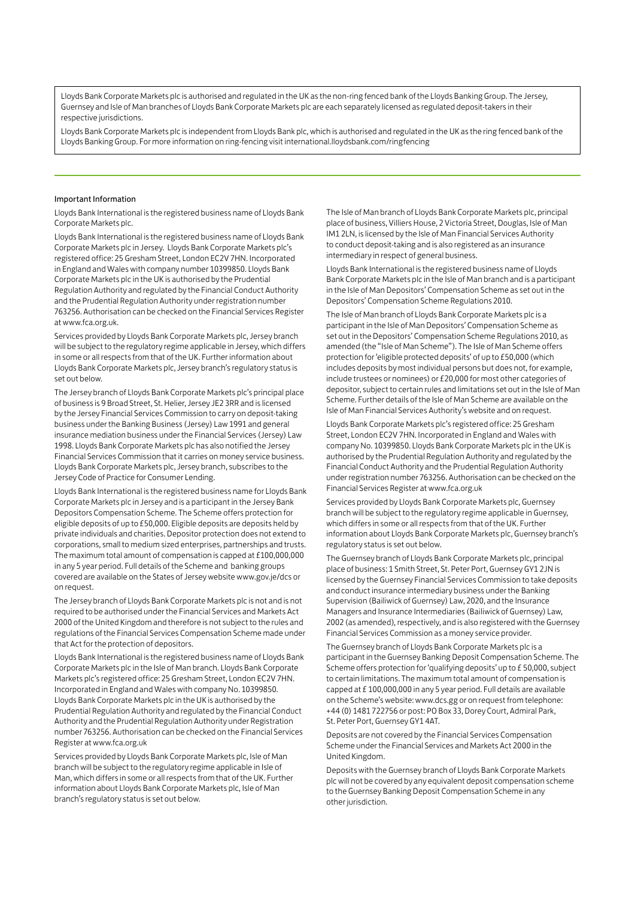Lloyds Bank Corporate Markets plc is authorised and regulated in the UK as the non-ring fenced bank of the Lloyds Banking Group. The Jersey, Guernsey and Isle of Man branches of Lloyds Bank Corporate Markets plc are each separately licensed as regulated deposit-takers in their respective jurisdictions.

Lloyds Bank Corporate Markets plc is independent from Lloyds Bank plc, which is authorised and regulated in the UK as the ring fenced bank of the Lloyds Banking Group. For more information on ring-fencing visit international.lloydsbank.com/ringfencing

## Important Information

Lloyds Bank International is the registered business name of Lloyds Bank Corporate Markets plc.

Lloyds Bank International is the registered business name of Lloyds Bank Corporate Markets plc in Jersey. Lloyds Bank Corporate Markets plc's registered office: 25 Gresham Street, London EC2V 7HN. Incorporated in England and Wales with company number 10399850. Lloyds Bank Corporate Markets plc in the UK is authorised by the Prudential Regulation Authority and regulated by the Financial Conduct Authority and the Prudential Regulation Authority under registration number 763256. Authorisation can be checked on the Financial Services Register at www.fca.org.uk.

Services provided by Lloyds Bank Corporate Markets plc, Jersey branch will be subject to the regulatory regime applicable in Jersey, which differs in some or all respects from that of the UK. Further information about Lloyds Bank Corporate Markets plc, Jersey branch's regulatory status is set out below.

The Jersey branch of Lloyds Bank Corporate Markets plc's principal place of business is 9 Broad Street, St. Helier, Jersey JE2 3RR and is licensed by the Jersey Financial Services Commission to carry on deposit-taking business under the Banking Business (Jersey) Law 1991 and general insurance mediation business under the Financial Services (Jersey) Law 1998. Lloyds Bank Corporate Markets plc has also notified the Jersey Financial Services Commission that it carries on money service business. Lloyds Bank Corporate Markets plc, Jersey branch, subscribes to the Jersey Code of Practice for Consumer Lending.

Lloyds Bank International is the registered business name for Lloyds Bank Corporate Markets plc in Jersey and is a participant in the Jersey Bank Depositors Compensation Scheme. The Scheme offers protection for eligible deposits of up to £50,000. Eligible deposits are deposits held by private individuals and charities. Depositor protection does not extend to corporations, small to medium sized enterprises, partnerships and trusts. The maximum total amount of compensation is capped at £100,000,000 in any 5 year period. Full details of the Scheme and banking groups covered are available on the States of Jersey website www.gov.je/dcs or on request.

The Jersey branch of Lloyds Bank Corporate Markets plc is not and is not required to be authorised under the Financial Services and Markets Act 2000 of the United Kingdom and therefore is not subject to the rules and regulations of the Financial Services Compensation Scheme made under that Act for the protection of depositors.

Lloyds Bank International is the registered business name of Lloyds Bank Corporate Markets plc in the Isle of Man branch. Lloyds Bank Corporate Markets plc's registered office: 25 Gresham Street, London EC2V 7HN. Incorporated in England and Wales with company No. 10399850. Lloyds Bank Corporate Markets plc in the UK is authorised by the Prudential Regulation Authority and regulated by the Financial Conduct Authority and the Prudential Regulation Authority under Registration number 763256. Authorisation can be checked on the Financial Services Register at www.fca.org.uk

Services provided by Lloyds Bank Corporate Markets plc, Isle of Man branch will be subject to the regulatory regime applicable in Isle of Man, which differs in some or all respects from that of the UK. Further information about Lloyds Bank Corporate Markets plc, Isle of Man branch's regulatory status is set out below.

The Isle of Man branch of Lloyds Bank Corporate Markets plc, principal place of business, Villiers House, 2 Victoria Street, Douglas, Isle of Man IM1 2LN, is licensed by the Isle of Man Financial Services Authority to conduct deposit-taking and is also registered as an insurance intermediary in respect of general business.

Lloyds Bank International is the registered business name of Lloyds Bank Corporate Markets plc in the Isle of Man branch and is a participant in the Isle of Man Depositors' Compensation Scheme as set out in the Depositors' Compensation Scheme Regulations 2010.

The Isle of Man branch of Lloyds Bank Corporate Markets plc is a participant in the Isle of Man Depositors' Compensation Scheme as set out in the Depositors' Compensation Scheme Regulations 2010, as amended (the "Isle of Man Scheme"). The Isle of Man Scheme offers protection for 'eligible protected deposits' of up to £50,000 (which includes deposits by most individual persons but does not, for example, include trustees or nominees) or £20,000 for most other categories of depositor, subject to certain rules and limitations set out in the Isle of Man Scheme. Further details of the Isle of Man Scheme are available on the Isle of Man Financial Services Authority's website and on request.

Lloyds Bank Corporate Markets plc's registered office: 25 Gresham Street, London EC2V 7HN. Incorporated in England and Wales with company No. 10399850. Lloyds Bank Corporate Markets plc in the UK is authorised by the Prudential Regulation Authority and regulated by the Financial Conduct Authority and the Prudential Regulation Authority under registration number 763256. Authorisation can be checked on the Financial Services Register at www.fca.org.uk

Services provided by Lloyds Bank Corporate Markets plc, Guernsey branch will be subject to the regulatory regime applicable in Guernsey, which differs in some or all respects from that of the UK. Further information about Lloyds Bank Corporate Markets plc, Guernsey branch's regulatory status is set out below.

The Guernsey branch of Lloyds Bank Corporate Markets plc, principal place of business: 1 Smith Street, St. Peter Port, Guernsey GY1 2JN is licensed by the Guernsey Financial Services Commission to take deposits and conduct insurance intermediary business under the Banking Supervision (Bailiwick of Guernsey) Law, 2020, and the Insurance Managers and Insurance Intermediaries (Bailiwick of Guernsey) Law, 2002 (as amended), respectively, and is also registered with the Guernsey Financial Services Commission as a money service provider.

The Guernsey branch of Lloyds Bank Corporate Markets plc is a participant in the Guernsey Banking Deposit Compensation Scheme. The Scheme offers protection for 'qualifying deposits' up to £ 50,000, subject to certain limitations. The maximum total amount of compensation is capped at £ 100,000,000 in any 5 year period. Full details are available on the Scheme's website: www.dcs.gg or on request from telephone: +44 (0) 1481 722756 or post: PO Box 33, Dorey Court, Admiral Park, St. Peter Port, Guernsey GY1 4AT.

Deposits are not covered by the Financial Services Compensation Scheme under the Financial Services and Markets Act 2000 in the United Kingdom.

Deposits with the Guernsey branch of Lloyds Bank Corporate Markets plc will not be covered by any equivalent deposit compensation scheme to the Guernsey Banking Deposit Compensation Scheme in any other jurisdiction.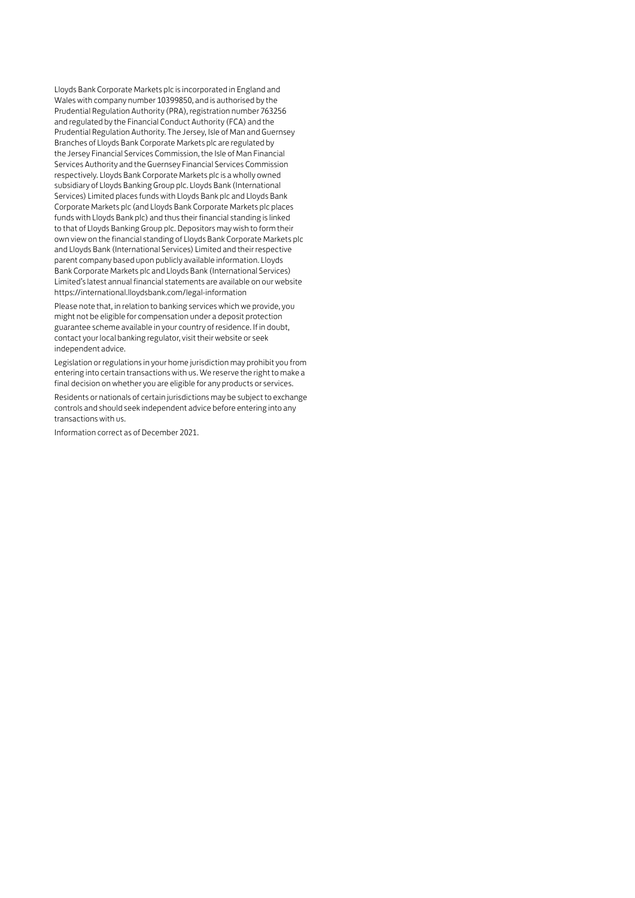Lloyds Bank Corporate Markets plc is incorporated in England and Wales with company number 10399850, and is authorised by the Prudential Regulation Authority (PRA), registration number 763256 and regulated by the Financial Conduct Authority (FCA) and the Prudential Regulation Authority. The Jersey, Isle of Man and Guernsey Branches of Lloyds Bank Corporate Markets plc are regulated by the Jersey Financial Services Commission, the Isle of Man Financial Services Authority and the Guernsey Financial Services Commission respectively. Lloyds Bank Corporate Markets plc is a wholly owned subsidiary of Lloyds Banking Group plc. Lloyds Bank (International Services) Limited places funds with Lloyds Bank plc and Lloyds Bank Corporate Markets plc (and Lloyds Bank Corporate Markets plc places funds with Lloyds Bank plc) and thus their financial standing is linked to that of Lloyds Banking Group plc. Depositors may wish to form their own view on the financial standing of Lloyds Bank Corporate Markets plc and Lloyds Bank (International Services) Limited and their respective parent company based upon publicly available information. Lloyds Bank Corporate Markets plc and Lloyds Bank (International Services) Limited's latest annual financial statements are available on our website https://international.lloydsbank.com/legal-information

Please note that, in relation to banking services which we provide, you might not be eligible for compensation under a deposit protection guarantee scheme available in your country of residence. If in doubt, contact your local banking regulator, visit their website or seek independent advice.

Legislation or regulations in your home jurisdiction may prohibit you from entering into certain transactions with us. We reserve the right to make a final decision on whether you are eligible for any products or services.

Residents or nationals of certain jurisdictions may be subject to exchange controls and should seek independent advice before entering into any transactions with us.

Information correct as of December 2021.